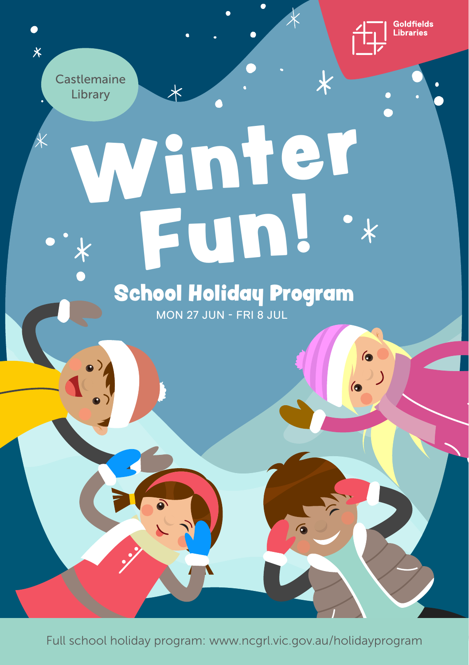

 $\bullet$ 

》)

 $\overline{\textbf{x}}$ 

**Castlemaine** Library

 $\bullet$  $\overline{\mathsf{x}}$ 

# Winter Fun!  $\overline{\textbf{x}}$ School Holiday Program

 $\overline{\mathcal{X}}$ 

MON 27 JUN - FRI 8 JUL

Full school holiday program: www.ncgrl.vic.gov.au/holidayprogram